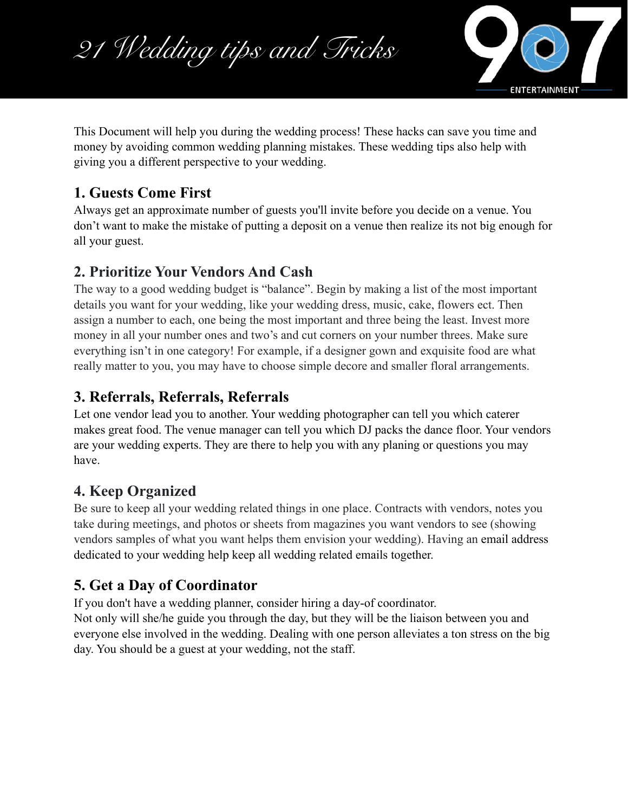



This Document will help you during the wedding process! These hacks can save you time and money by avoiding common wedding planning mistakes. These wedding tips also help with giving you a different perspective to your wedding.

# **1. Guests Come First**

Always get an approximate number of [guests](https://www.theknot.com/gs/guest-list-manager) you'll invite before you decide on a [venue](https://www.theknot.com/conciergehttps://www.theknot.com/marketplace/wedding-reception-venues). You don't want to make the mistake of putting a deposit on a venue then realize its not big enough for all your guest.

#### **2. Prioritize Your Vendors And Cash**

The way to a good wedding budget is "balance". Begin by making a list of the most important details you want for your wedding, like your wedding dress, music, cake, flowers ect. Then assign a number to each, one being the most important and three being the least. Invest more money in all your number ones and two's and cut corners on your number threes. Make sure everything isn't in one category! For example, if a designer gown and exquisite food are what really matter to you, you may have to choose simple decore and smaller floral arrangements.

#### **3. Referrals, Referrals, Referrals**

Let one vendor lead you to another. Your [wedding photographer](http://wedding.theknot.com/wedding-resources/wedding-photographers.aspx) can tell you which caterer makes great food. The venue manager can tell you which DJ packs the dance floor. Your vendors are your wedding experts. They are there to help you with any planing or questions you may have.

### **4. Keep Organized**

Be sure to keep all your wedding related things in one place. Contracts with vendors, notes you take during meetings, and photos or sheets from magazines you want vendors to see (showing vendors samples of what you want helps them envision your wedding). Having an email address dedicated to your wedding help keep all wedding related emails together.

### **5. Get a Day of Coordinator**

If you don't have a wedding planner, consider hiring a day-of coordinator.

Not only will she/he guide you through the day, but they will be the liaison between you and everyone else involved in the wedding. Dealing with one person alleviates a ton stress on the big day. You should be a guest at your wedding, not the staff.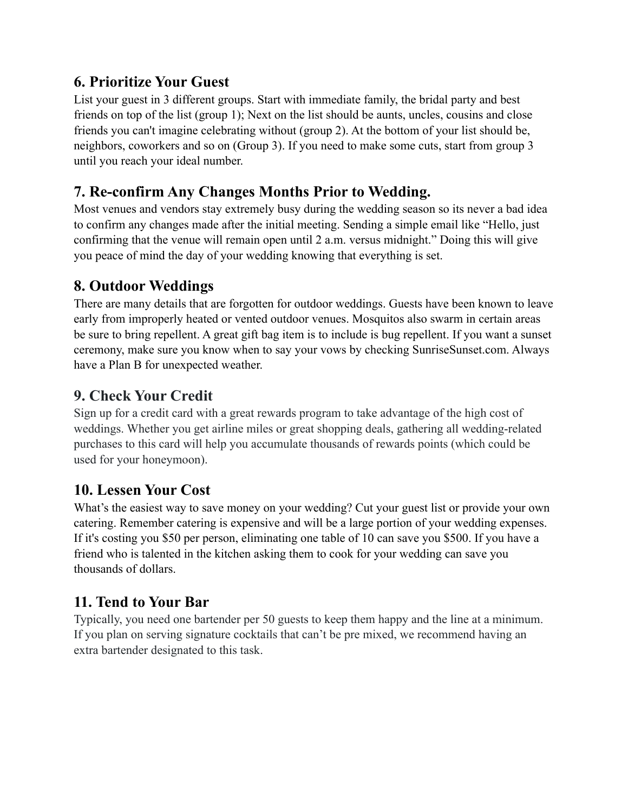### **6. Prioritize Your Guest**

List your guest in 3 different groups. Start with immediate family, the bridal party and best friends on top of the list (group 1); Next on the list should be aunts, uncles, cousins and close friends you can't imagine celebrating without (group 2). At the bottom of your list should be, neighbors, coworkers and so on (Group 3). If you need to make some cuts, start from group 3 until you reach your ideal number.

# **7. Re-confirm Any Changes Months Prior to Wedding.**

Most venues and vendors stay extremely busy during the wedding season so its never a bad idea to confirm any changes made after the initial meeting. Sending a simple email like "Hello, just confirming that the venue will remain open until 2 a.m. versus midnight." Doing this will give you peace of mind the day of your wedding knowing that everything is set.

# **8. Outdoor Weddings**

There are many details that are forgotten for outdoor weddings. Guests have been known to leave early from improperly heated or vented outdoor venues. Mosquitos also swarm in certain areas be sure to bring repellent. A great gift bag item is to include is bug repellent. If you want a sunset ceremony, make sure you know when to say your vows by checking [SunriseSunset.com.](http://www.sunrisesunset.com/) Always have a Plan B for unexpected weather.

### **9. Check Your Credit**

Sign up for a credit card with a great rewards program to take advantage of the high cost of weddings. Whether you get airline miles or great shopping deals, gathering all wedding-related purchases to this card will help you accumulate thousands of rewards points (which could be used for your honeymoon).

### **10. Lessen Your Cost**

What's the easiest way to save money on your wedding? Cut your guest list or provide your own catering. Remember catering is expensive and will be a large portion of your wedding expenses. If it's costing you \$50 per person, eliminating one table of 10 can save you \$500. If you have a friend who is talented in the kitchen asking them to cook for your wedding can save you thousands of dollars.

# **11. Tend to Your Bar**

Typically, you need one bartender per 50 guests to keep them happy and the line at a minimum. If you plan on serving signature cocktails that can't be pre mixed, we recommend having an extra bartender designated to this task.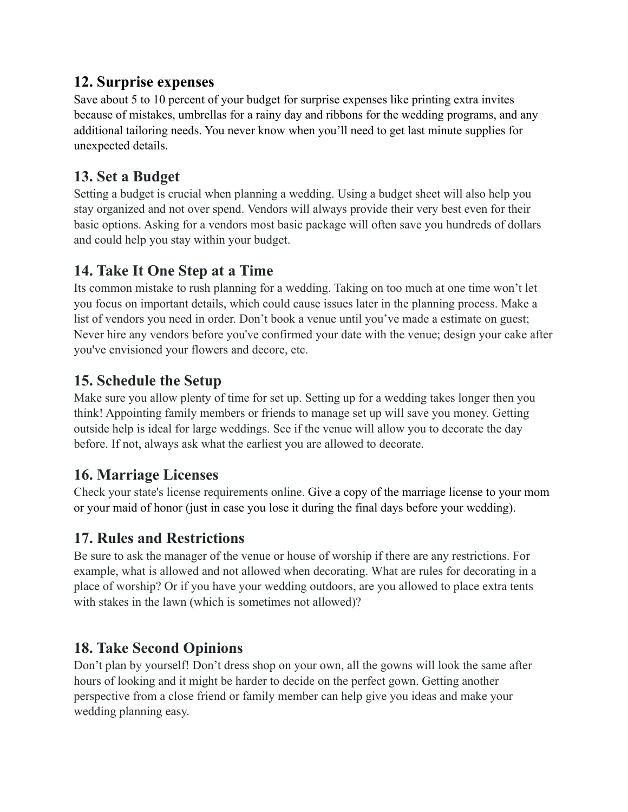#### **12. Surprise expenses**

Save about 5 to 10 percent of your budget for surprise expenses like printing extra invites because of mistakes, umbrellas for a rainy day and ribbons for the wedding programs, and any additional tailoring needs. You never know when you'll need to get last minute supplies for unexpected details.

### **13. Set a Budget**

Setting a budget is crucial when planning a wedding. Using a budget sheet will also help you stay organized and not over spend. Vendors will always provide their very best even for their basic options. Asking for a vendors most basic package will often save you hundreds of dollars and could help you stay within your budget.

### **14. Take It One Step at a Time**

Its common mistake to rush planning for a wedding. Taking on too much at one time won't let you focus on important details, which could cause issues later in the planning process. Make a list of vendors you need in order. Don't book a venue until you've made a estimate on guest; Never hire any vendors before you've confirmed your date with the venue; design your cake after you've envisioned your flowers and decore, etc.

# **15. Schedule the Setup**

Make sure you allow plenty of time for set up. Setting up for a wedding takes longer then you think! Appointing family members or friends to manage set up will save you money. Getting outside help is ideal for large weddings. See if the venue will allow you to decorate the day before. If not, always ask what the earliest you are allowed to decorate.

### **16. Marriage Licenses**

Check your state's license requirements online. Give a copy of the marriage license to your mom or your maid of honor (just in case you lose it during the final days before your wedding).

# **17. Rules and Restrictions**

Be sure to ask the manager of the venue or house of worship if there are any restrictions. For example, what is allowed and not allowed when decorating. What are rules for decorating in a place of worship? Or if you have your wedding outdoors, are you allowed to place extra tents with stakes in the lawn (which is sometimes not allowed)?

# **18. Take Second Opinions**

Don't plan by yourself! Don't dress shop on your own, all the gowns will look the same after hours of looking and it might be harder to decide on the perfect gown. Getting another perspective from a close friend or family member can help give you ideas and make your wedding planning easy.